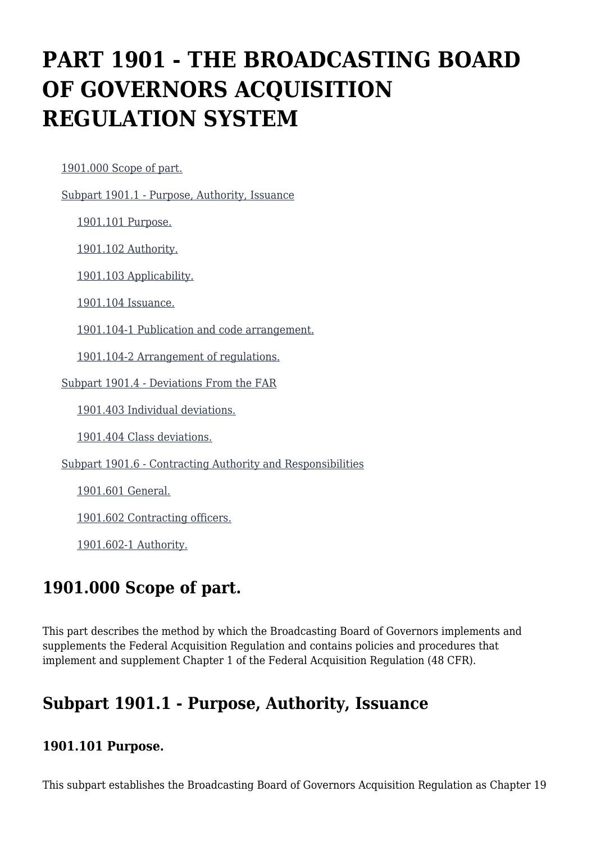# **PART 1901 - THE BROADCASTING BOARD OF GOVERNORS ACQUISITION REGULATION SYSTEM**

[1901.000 Scope of part.](https://www.acquisition.gov/%5Brp:link:iaar-part-1901%5D#Section_1901_000_T48_605252011)

[Subpart 1901.1 - Purpose, Authority, Issuance](https://www.acquisition.gov/%5Brp:link:iaar-part-1901%5D#Subpart_1901_1_T48_6052521)

[1901.101 Purpose.](https://www.acquisition.gov/%5Brp:link:iaar-part-1901%5D#Section_1901_101_T48_605252111)

[1901.102 Authority.](https://www.acquisition.gov/%5Brp:link:iaar-part-1901%5D#Section_1901_102_T48_605252112)

[1901.103 Applicability.](https://www.acquisition.gov/%5Brp:link:iaar-part-1901%5D#Section_1901_103_T48_605252113)

[1901.104 Issuance.](https://www.acquisition.gov/%5Brp:link:iaar-part-1901%5D#Section_1901_104_T48_605252114)

[1901.104-1 Publication and code arrangement.](https://www.acquisition.gov/%5Brp:link:iaar-part-1901%5D#Section_1901_104_1_T48_605252115)

[1901.104-2 Arrangement of regulations.](https://www.acquisition.gov/%5Brp:link:iaar-part-1901%5D#Section_1901_104_2_T48_605252116)

[Subpart 1901.4 - Deviations From the FAR](https://www.acquisition.gov/%5Brp:link:iaar-part-1901%5D#Subpart_1901_4_T48_6052522)

[1901.403 Individual deviations.](https://www.acquisition.gov/%5Brp:link:iaar-part-1901%5D#Section_1901_403_T48_605252211)

[1901.404 Class deviations.](https://www.acquisition.gov/%5Brp:link:iaar-part-1901%5D#Section_1901_404_T48_605252212)

[Subpart 1901.6 - Contracting Authority and Responsibilities](https://www.acquisition.gov/%5Brp:link:iaar-part-1901%5D#Subpart_1901_6_T48_6052523)

[1901.601 General.](https://www.acquisition.gov/%5Brp:link:iaar-part-1901%5D#Section_1901_601_T48_605252311)

[1901.602 Contracting officers.](https://www.acquisition.gov/%5Brp:link:iaar-part-1901%5D#Section_1901_602_T48_605252312)

[1901.602-1 Authority.](https://www.acquisition.gov/%5Brp:link:iaar-part-1901%5D#Section_1901_602_1_T48_605252313)

# **1901.000 Scope of part.**

This part describes the method by which the Broadcasting Board of Governors implements and supplements the Federal Acquisition Regulation and contains policies and procedures that implement and supplement Chapter 1 of the Federal Acquisition Regulation (48 CFR).

# **Subpart 1901.1 - Purpose, Authority, Issuance**

#### **1901.101 Purpose.**

This subpart establishes the Broadcasting Board of Governors Acquisition Regulation as Chapter 19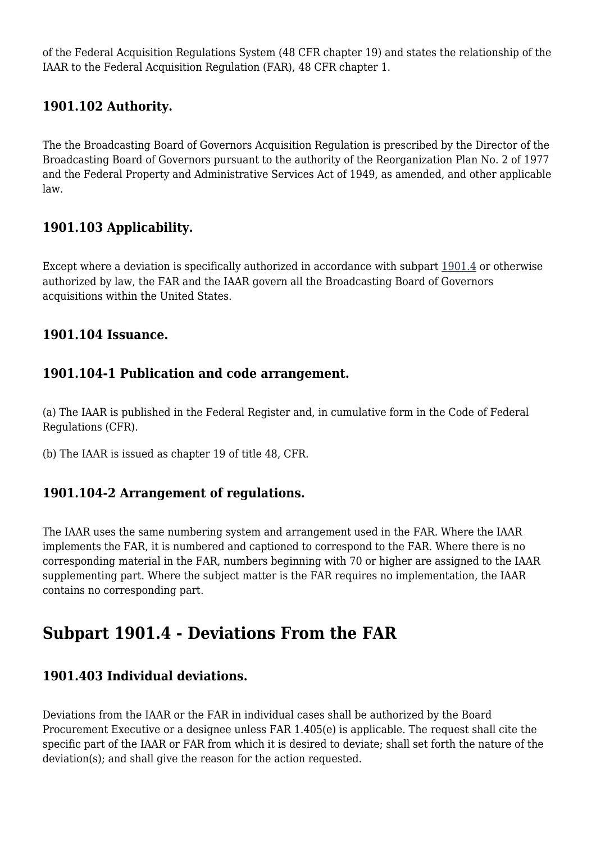of the Federal Acquisition Regulations System (48 CFR chapter 19) and states the relationship of the IAAR to the Federal Acquisition Regulation (FAR), 48 CFR chapter 1.

## **1901.102 Authority.**

The the Broadcasting Board of Governors Acquisition Regulation is prescribed by the Director of the Broadcasting Board of Governors pursuant to the authority of the Reorganization Plan No. 2 of 1977 and the Federal Property and Administrative Services Act of 1949, as amended, and other applicable law.

## **1901.103 Applicability.**

Except where a deviation is specifically authorized in accordance with subpart [1901.4](https://www.acquisition.gov/%5Brp:link:iaar-part-1901%5D#Subpart_1901_4_T48_6052522) or otherwise authorized by law, the FAR and the IAAR govern all the Broadcasting Board of Governors acquisitions within the United States.

### **1901.104 Issuance.**

#### **1901.104-1 Publication and code arrangement.**

(a) The IAAR is published in the Federal Register and, in cumulative form in the Code of Federal Regulations (CFR).

(b) The IAAR is issued as chapter 19 of title 48, CFR.

### **1901.104-2 Arrangement of regulations.**

The IAAR uses the same numbering system and arrangement used in the FAR. Where the IAAR implements the FAR, it is numbered and captioned to correspond to the FAR. Where there is no corresponding material in the FAR, numbers beginning with 70 or higher are assigned to the IAAR supplementing part. Where the subject matter is the FAR requires no implementation, the IAAR contains no corresponding part.

# **Subpart 1901.4 - Deviations From the FAR**

### **1901.403 Individual deviations.**

Deviations from the IAAR or the FAR in individual cases shall be authorized by the Board Procurement Executive or a designee unless FAR 1.405(e) is applicable. The request shall cite the specific part of the IAAR or FAR from which it is desired to deviate; shall set forth the nature of the deviation(s); and shall give the reason for the action requested.